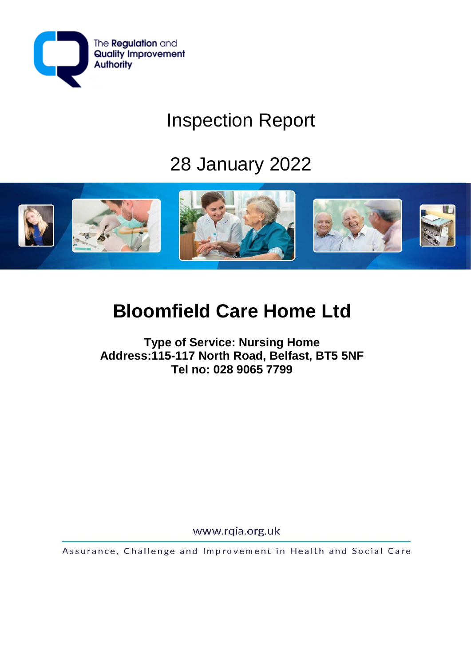

## Inspection Report

# 28 January 2022



## **Bloomfield Care Home Ltd**

**Type of Service: Nursing Home Address:115-117 North Road, Belfast, BT5 5NF Tel no: 028 9065 7799**

www.rqia.org.uk

Assurance, Challenge and Improvement in Health and Social Care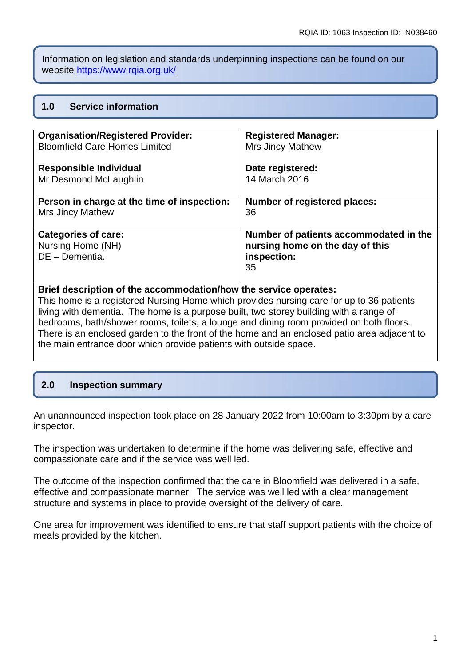Information on legislation and standards underpinning inspections can be found on our website<https://www.rqia.org.uk/>

## **1.0 Service information**

| <b>Organisation/Registered Provider:</b>    | <b>Registered Manager:</b>             |
|---------------------------------------------|----------------------------------------|
| <b>Bloomfield Care Homes Limited</b>        | <b>Mrs Jincy Mathew</b>                |
| <b>Responsible Individual</b>               | Date registered:                       |
| Mr Desmond McLaughlin                       | 14 March 2016                          |
| Person in charge at the time of inspection: | <b>Number of registered places:</b>    |
| <b>Mrs Jincy Mathew</b>                     | 36                                     |
| <b>Categories of care:</b>                  | Number of patients accommodated in the |
| Nursing Home (NH)                           | nursing home on the day of this        |
| DE - Dementia.                              | inspection:                            |
|                                             | 35                                     |

### **Brief description of the accommodation/how the service operates:**

This home is a registered Nursing Home which provides nursing care for up to 36 patients living with dementia. The home is a purpose built, two storey building with a range of bedrooms, bath/shower rooms, toilets, a lounge and dining room provided on both floors. There is an enclosed garden to the front of the home and an enclosed patio area adjacent to the main entrance door which provide patients with outside space.

## **2.0 Inspection summary**

An unannounced inspection took place on 28 January 2022 from 10:00am to 3:30pm by a care inspector.

The inspection was undertaken to determine if the home was delivering safe, effective and compassionate care and if the service was well led.

The outcome of the inspection confirmed that the care in Bloomfield was delivered in a safe, effective and compassionate manner. The service was well led with a clear management structure and systems in place to provide oversight of the delivery of care.

One area for improvement was identified to ensure that staff support patients with the choice of meals provided by the kitchen.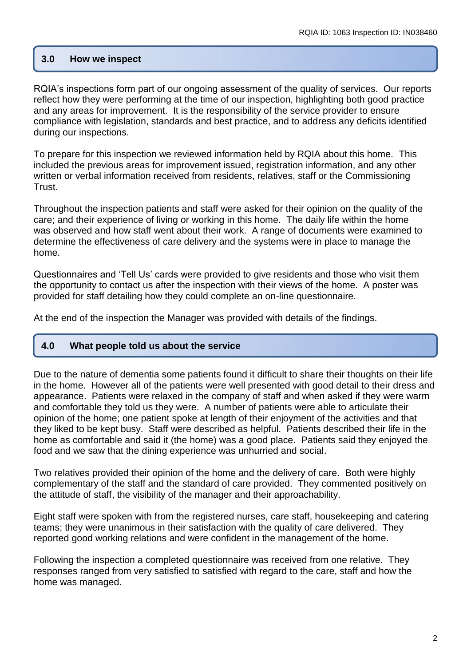## **3.0 How we inspect**

RQIA's inspections form part of our ongoing assessment of the quality of services. Our reports reflect how they were performing at the time of our inspection, highlighting both good practice and any areas for improvement. It is the responsibility of the service provider to ensure compliance with legislation, standards and best practice, and to address any deficits identified during our inspections.

To prepare for this inspection we reviewed information held by RQIA about this home. This included the previous areas for improvement issued, registration information, and any other written or verbal information received from residents, relatives, staff or the Commissioning Trust.

Throughout the inspection patients and staff were asked for their opinion on the quality of the care; and their experience of living or working in this home. The daily life within the home was observed and how staff went about their work. A range of documents were examined to determine the effectiveness of care delivery and the systems were in place to manage the home.

Questionnaires and 'Tell Us' cards were provided to give residents and those who visit them the opportunity to contact us after the inspection with their views of the home. A poster was provided for staff detailing how they could complete an on-line questionnaire.

At the end of the inspection the Manager was provided with details of the findings.

#### **4.0 What people told us about the service**

Due to the nature of dementia some patients found it difficult to share their thoughts on their life in the home. However all of the patients were well presented with good detail to their dress and appearance. Patients were relaxed in the company of staff and when asked if they were warm and comfortable they told us they were. A number of patients were able to articulate their opinion of the home; one patient spoke at length of their enjoyment of the activities and that they liked to be kept busy. Staff were described as helpful. Patients described their life in the home as comfortable and said it (the home) was a good place. Patients said they enjoyed the food and we saw that the dining experience was unhurried and social.

Two relatives provided their opinion of the home and the delivery of care. Both were highly complementary of the staff and the standard of care provided. They commented positively on the attitude of staff, the visibility of the manager and their approachability.

Eight staff were spoken with from the registered nurses, care staff, housekeeping and catering teams; they were unanimous in their satisfaction with the quality of care delivered. They reported good working relations and were confident in the management of the home.

Following the inspection a completed questionnaire was received from one relative. They responses ranged from very satisfied to satisfied with regard to the care, staff and how the home was managed.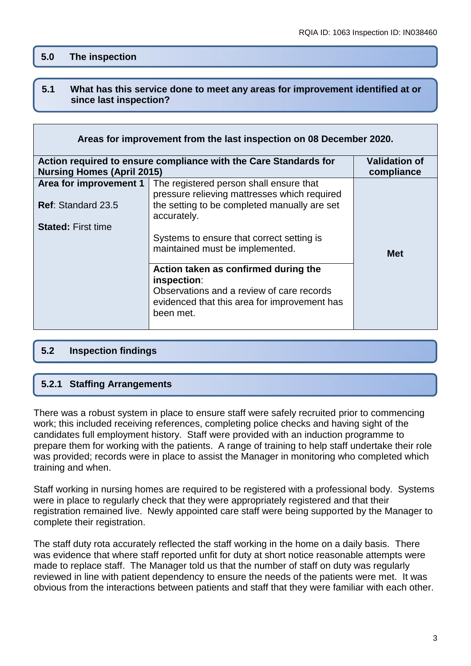## **5.0 The inspection**

#### **5.1 What has this service done to meet any areas for improvement identified at or since last inspection?**

| Areas for improvement from the last inspection on 08 December 2020.                      |                                                                                                                                                               |            |  |
|------------------------------------------------------------------------------------------|---------------------------------------------------------------------------------------------------------------------------------------------------------------|------------|--|
| <b>Validation of</b><br>Action required to ensure compliance with the Care Standards for |                                                                                                                                                               |            |  |
| <b>Nursing Homes (April 2015)</b><br>compliance                                          |                                                                                                                                                               |            |  |
| Area for improvement 1                                                                   | The registered person shall ensure that<br>pressure relieving mattresses which required                                                                       |            |  |
| <b>Ref: Standard 23.5</b>                                                                | the setting to be completed manually are set<br>accurately.                                                                                                   |            |  |
| <b>Stated: First time</b>                                                                | Systems to ensure that correct setting is<br>maintained must be implemented.                                                                                  | <b>Met</b> |  |
|                                                                                          | Action taken as confirmed during the<br>inspection:<br>Observations and a review of care records<br>evidenced that this area for improvement has<br>been met. |            |  |

## **5.2 Inspection findings**

## **5.2.1 Staffing Arrangements**

There was a robust system in place to ensure staff were safely recruited prior to commencing work; this included receiving references, completing police checks and having sight of the candidates full employment history. Staff were provided with an induction programme to prepare them for working with the patients. A range of training to help staff undertake their role was provided; records were in place to assist the Manager in monitoring who completed which training and when.

Staff working in nursing homes are required to be registered with a professional body. Systems were in place to regularly check that they were appropriately registered and that their registration remained live. Newly appointed care staff were being supported by the Manager to complete their registration.

The staff duty rota accurately reflected the staff working in the home on a daily basis. There was evidence that where staff reported unfit for duty at short notice reasonable attempts were made to replace staff. The Manager told us that the number of staff on duty was regularly reviewed in line with patient dependency to ensure the needs of the patients were met. It was obvious from the interactions between patients and staff that they were familiar with each other.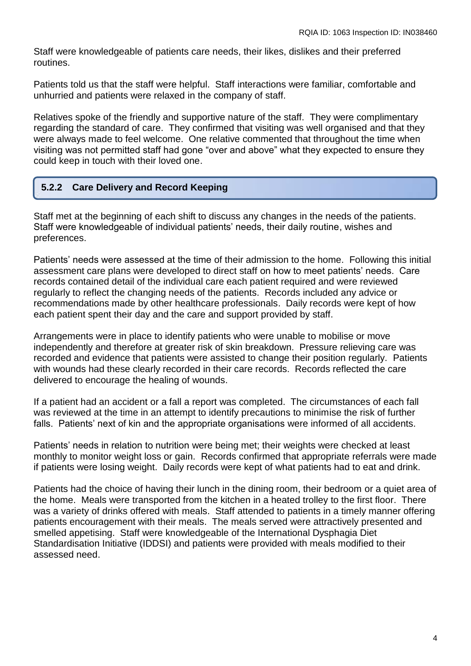Staff were knowledgeable of patients care needs, their likes, dislikes and their preferred routines.

Patients told us that the staff were helpful. Staff interactions were familiar, comfortable and unhurried and patients were relaxed in the company of staff.

Relatives spoke of the friendly and supportive nature of the staff. They were complimentary regarding the standard of care. They confirmed that visiting was well organised and that they were always made to feel welcome. One relative commented that throughout the time when visiting was not permitted staff had gone "over and above" what they expected to ensure they could keep in touch with their loved one.

#### **5.2.2 Care Delivery and Record Keeping**

Staff met at the beginning of each shift to discuss any changes in the needs of the patients. Staff were knowledgeable of individual patients' needs, their daily routine, wishes and preferences.

Patients' needs were assessed at the time of their admission to the home. Following this initial assessment care plans were developed to direct staff on how to meet patients' needs. Care records contained detail of the individual care each patient required and were reviewed regularly to reflect the changing needs of the patients. Records included any advice or recommendations made by other healthcare professionals. Daily records were kept of how each patient spent their day and the care and support provided by staff.

Arrangements were in place to identify patients who were unable to mobilise or move independently and therefore at greater risk of skin breakdown. Pressure relieving care was recorded and evidence that patients were assisted to change their position regularly. Patients with wounds had these clearly recorded in their care records. Records reflected the care delivered to encourage the healing of wounds.

If a patient had an accident or a fall a report was completed. The circumstances of each fall was reviewed at the time in an attempt to identify precautions to minimise the risk of further falls. Patients' next of kin and the appropriate organisations were informed of all accidents.

Patients' needs in relation to nutrition were being met; their weights were checked at least monthly to monitor weight loss or gain. Records confirmed that appropriate referrals were made if patients were losing weight. Daily records were kept of what patients had to eat and drink.

Patients had the choice of having their lunch in the dining room, their bedroom or a quiet area of the home. Meals were transported from the kitchen in a heated trolley to the first floor. There was a variety of drinks offered with meals. Staff attended to patients in a timely manner offering patients encouragement with their meals. The meals served were attractively presented and smelled appetising. Staff were knowledgeable of the International Dysphagia Diet Standardisation Initiative (IDDSI) and patients were provided with meals modified to their assessed need.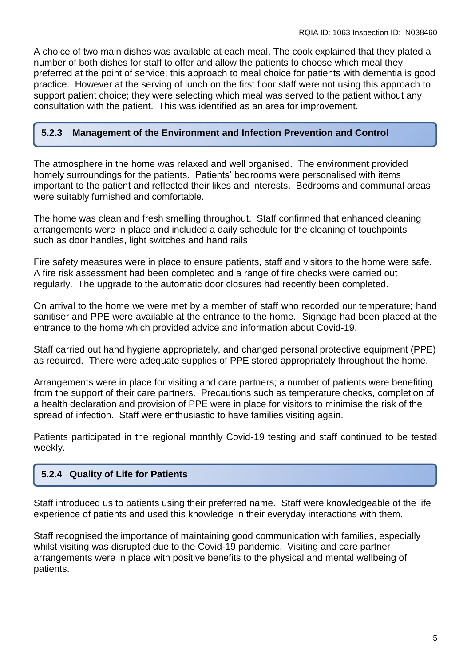A choice of two main dishes was available at each meal. The cook explained that they plated a number of both dishes for staff to offer and allow the patients to choose which meal they preferred at the point of service; this approach to meal choice for patients with dementia is good practice. However at the serving of lunch on the first floor staff were not using this approach to support patient choice; they were selecting which meal was served to the patient without any consultation with the patient. This was identified as an area for improvement.

#### **5.2.3 Management of the Environment and Infection Prevention and Control**

The atmosphere in the home was relaxed and well organised. The environment provided homely surroundings for the patients. Patients' bedrooms were personalised with items important to the patient and reflected their likes and interests. Bedrooms and communal areas were suitably furnished and comfortable.

The home was clean and fresh smelling throughout. Staff confirmed that enhanced cleaning arrangements were in place and included a daily schedule for the cleaning of touchpoints such as door handles, light switches and hand rails.

Fire safety measures were in place to ensure patients, staff and visitors to the home were safe. A fire risk assessment had been completed and a range of fire checks were carried out regularly. The upgrade to the automatic door closures had recently been completed.

On arrival to the home we were met by a member of staff who recorded our temperature; hand sanitiser and PPE were available at the entrance to the home. Signage had been placed at the entrance to the home which provided advice and information about Covid-19.

Staff carried out hand hygiene appropriately, and changed personal protective equipment (PPE) as required. There were adequate supplies of PPE stored appropriately throughout the home.

Arrangements were in place for visiting and care partners; a number of patients were benefiting from the support of their care partners. Precautions such as temperature checks, completion of a health declaration and provision of PPE were in place for visitors to minimise the risk of the spread of infection. Staff were enthusiastic to have families visiting again.

Patients participated in the regional monthly Covid-19 testing and staff continued to be tested weekly.

## **5.2.4 Quality of Life for Patients**

Staff introduced us to patients using their preferred name. Staff were knowledgeable of the life experience of patients and used this knowledge in their everyday interactions with them.

Staff recognised the importance of maintaining good communication with families, especially whilst visiting was disrupted due to the Covid-19 pandemic. Visiting and care partner arrangements were in place with positive benefits to the physical and mental wellbeing of patients.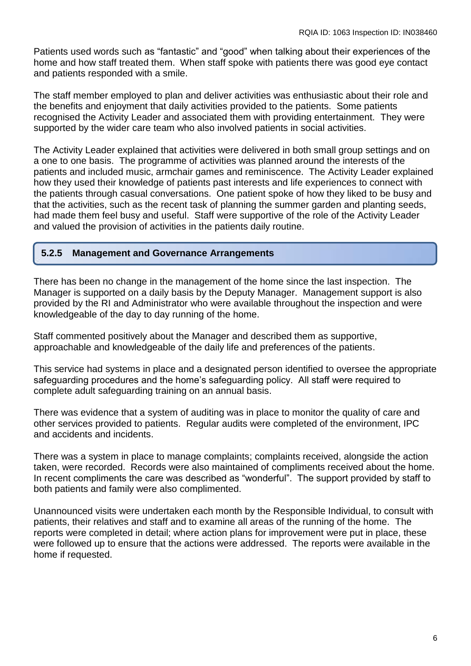Patients used words such as "fantastic" and "good" when talking about their experiences of the home and how staff treated them. When staff spoke with patients there was good eye contact and patients responded with a smile.

The staff member employed to plan and deliver activities was enthusiastic about their role and the benefits and enjoyment that daily activities provided to the patients. Some patients recognised the Activity Leader and associated them with providing entertainment. They were supported by the wider care team who also involved patients in social activities.

The Activity Leader explained that activities were delivered in both small group settings and on a one to one basis. The programme of activities was planned around the interests of the patients and included music, armchair games and reminiscence. The Activity Leader explained how they used their knowledge of patients past interests and life experiences to connect with the patients through casual conversations. One patient spoke of how they liked to be busy and that the activities, such as the recent task of planning the summer garden and planting seeds, had made them feel busy and useful. Staff were supportive of the role of the Activity Leader and valued the provision of activities in the patients daily routine.

#### **5.2.5 Management and Governance Arrangements**

There has been no change in the management of the home since the last inspection. The Manager is supported on a daily basis by the Deputy Manager. Management support is also provided by the RI and Administrator who were available throughout the inspection and were knowledgeable of the day to day running of the home.

Staff commented positively about the Manager and described them as supportive, approachable and knowledgeable of the daily life and preferences of the patients.

This service had systems in place and a designated person identified to oversee the appropriate safeguarding procedures and the home's safeguarding policy. All staff were required to complete adult safeguarding training on an annual basis.

There was evidence that a system of auditing was in place to monitor the quality of care and other services provided to patients. Regular audits were completed of the environment, IPC and accidents and incidents.

There was a system in place to manage complaints; complaints received, alongside the action taken, were recorded. Records were also maintained of compliments received about the home. In recent compliments the care was described as "wonderful". The support provided by staff to both patients and family were also complimented.

Unannounced visits were undertaken each month by the Responsible Individual, to consult with patients, their relatives and staff and to examine all areas of the running of the home. The reports were completed in detail; where action plans for improvement were put in place, these were followed up to ensure that the actions were addressed. The reports were available in the home if requested.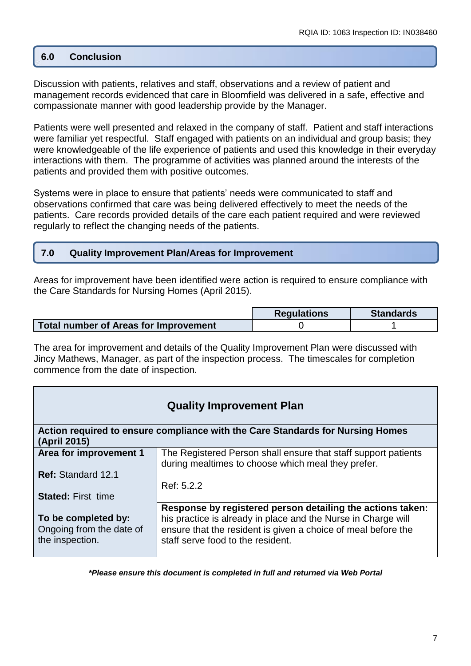## **6.0 Conclusion**

Discussion with patients, relatives and staff, observations and a review of patient and management records evidenced that care in Bloomfield was delivered in a safe, effective and compassionate manner with good leadership provide by the Manager.

Patients were well presented and relaxed in the company of staff. Patient and staff interactions were familiar yet respectful. Staff engaged with patients on an individual and group basis; they were knowledgeable of the life experience of patients and used this knowledge in their everyday interactions with them. The programme of activities was planned around the interests of the patients and provided them with positive outcomes.

Systems were in place to ensure that patients' needs were communicated to staff and observations confirmed that care was being delivered effectively to meet the needs of the patients. Care records provided details of the care each patient required and were reviewed regularly to reflect the changing needs of the patients.

### **7.0 Quality Improvement Plan/Areas for Improvement**

Areas for improvement have been identified were action is required to ensure compliance with the Care Standards for Nursing Homes (April 2015).

|                                              | <b>Regulations</b> | <b>Standards</b> |
|----------------------------------------------|--------------------|------------------|
| <b>Total number of Areas for Improvement</b> |                    |                  |

The area for improvement and details of the Quality Improvement Plan were discussed with Jincy Mathews, Manager, as part of the inspection process. The timescales for completion commence from the date of inspection.

| <b>Quality Improvement Plan</b>                                                                |                                                                                                                                                                                                                                   |  |  |
|------------------------------------------------------------------------------------------------|-----------------------------------------------------------------------------------------------------------------------------------------------------------------------------------------------------------------------------------|--|--|
| Action required to ensure compliance with the Care Standards for Nursing Homes<br>(April 2015) |                                                                                                                                                                                                                                   |  |  |
| Area for improvement 1                                                                         | The Registered Person shall ensure that staff support patients<br>during mealtimes to choose which meal they prefer.                                                                                                              |  |  |
| Ref: Standard 12.1                                                                             | Ref: 5.2.2                                                                                                                                                                                                                        |  |  |
| <b>Stated: First time</b>                                                                      |                                                                                                                                                                                                                                   |  |  |
| To be completed by:<br>Ongoing from the date of<br>the inspection.                             | Response by registered person detailing the actions taken:<br>his practice is already in place and the Nurse in Charge will<br>ensure that the resident is given a choice of meal before the<br>staff serve food to the resident. |  |  |

*\*Please ensure this document is completed in full and returned via Web Portal*